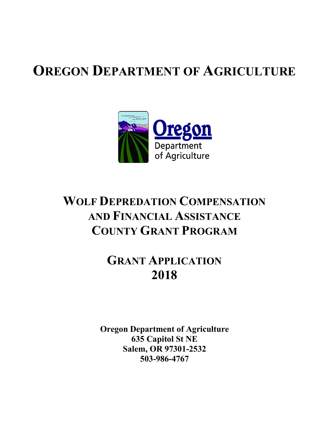# **OREGON DEPARTMENT OF AGRICULTURE**



# **WOLF DEPREDATION COMPENSATION AND FINANCIAL ASSISTANCE COUNTY GRANT PROGRAM**

# **GRANT APPLICATION 2018**

**Oregon Department of Agriculture 635 Capitol St NE Salem, OR 97301-2532 503-986-4767**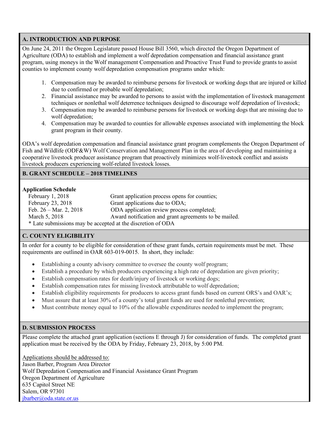#### **A. INTRODUCTION AND PURPOSE**

On June 24, 2011 the Oregon Legislature passed House Bill 3560, which directed the Oregon Department of Agriculture (ODA) to establish and implement a wolf depredation compensation and financial assistance grant program, using moneys in the Wolf management Compensation and Proactive Trust Fund to provide grants to assist counties to implement county wolf depredation compensation programs under which:

- 1. Compensation may be awarded to reimburse persons for livestock or working dogs that are injured or killed due to confirmed or probable wolf depredation;
- 2. Financial assistance may be awarded to persons to assist with the implementation of livestock management techniques or nonlethal wolf deterrence techniques designed to discourage wolf depredation of livestock;
- 3. Compensation may be awarded to reimburse persons for livestock or working dogs that are missing due to wolf depredation;
- 4. Compensation may be awarded to counties for allowable expenses associated with implementing the block grant program in their county.

ODA's wolf depredation compensation and financial assistance grant program complements the Oregon Department of Fish and Wildlife (ODF&W) Wolf Conservation and Management Plan in the area of developing and maintaining a cooperative livestock producer assistance program that proactively minimizes wolf-livestock conflict and assists livestock producers experiencing wolf-related livestock losses.

### **B. GRANT SCHEDULE – 2018 TIMELINES**

#### **Application Schedule**

February 1, 2018 Grant application process opens for counties; February 23, 2018 Grant applications due to ODA; Feb. 26 – Mar. 2, 2018 **ODA** application review process completed; March 5, 2018 Award notification and grant agreements to be mailed. \* Late submissions may be accepted at the discretion of ODA

### **C. COUNTY ELIGIBILITY**

In order for a county to be eligible for consideration of these grant funds, certain requirements must be met. These requirements are outlined in OAR 603-019-0015. In short, they include:

- Establishing a county advisory committee to oversee the county wolf program;
- Establish a procedure by which producers experiencing a high rate of depredation are given priority;
- Establish compensation rates for death/injury of livestock or working dogs;
- Establish compensation rates for missing livestock attributable to wolf depredation;
- Establish eligibility requirements for producers to access grant funds based on current ORS's and OAR's;
- Must assure that at least 30% of a county's total grant funds are used for nonlethal prevention;
- Must contribute money equal to 10% of the allowable expenditures needed to implement the program;

### **D. SUBMISSION PROCESS**

Please complete the attached grant application (sections E through J) for consideration of funds. The completed grant application must be received by the ODA by Friday, February 23, 2018, by 5:00 PM.

Applications should be addressed to: Jason Barber, Program Area Director Wolf Depredation Compensation and Financial Assistance Grant Program Oregon Department of Agriculture 635 Capitol Street NE Salem, OR 97301 ibarber@oda.state.or.us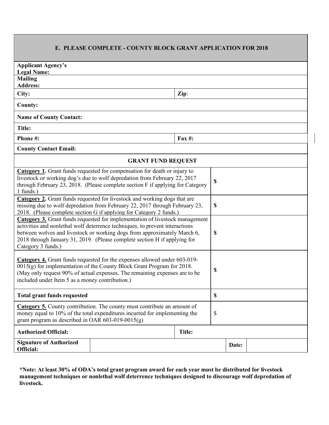#### **E. PLEASE COMPLETE - COUNTY BLOCK GRANT APPLICATION FOR 2018**

| <b>Applicant Agency's</b>                                                                                                                                                                                                                                                                                                                          |        |                 |    |       |  |  |  |
|----------------------------------------------------------------------------------------------------------------------------------------------------------------------------------------------------------------------------------------------------------------------------------------------------------------------------------------------------|--------|-----------------|----|-------|--|--|--|
| <b>Legal Name:</b>                                                                                                                                                                                                                                                                                                                                 |        |                 |    |       |  |  |  |
| <b>Mailing</b><br><b>Address:</b>                                                                                                                                                                                                                                                                                                                  |        |                 |    |       |  |  |  |
|                                                                                                                                                                                                                                                                                                                                                    |        |                 |    |       |  |  |  |
| City:                                                                                                                                                                                                                                                                                                                                              |        | $\mathbf{Zip:}$ |    |       |  |  |  |
| County:                                                                                                                                                                                                                                                                                                                                            |        |                 |    |       |  |  |  |
| <b>Name of County Contact:</b>                                                                                                                                                                                                                                                                                                                     |        |                 |    |       |  |  |  |
| <b>Title:</b>                                                                                                                                                                                                                                                                                                                                      |        |                 |    |       |  |  |  |
| Phone#:                                                                                                                                                                                                                                                                                                                                            |        | <b>Fax #:</b>   |    |       |  |  |  |
| <b>County Contact Email:</b>                                                                                                                                                                                                                                                                                                                       |        |                 |    |       |  |  |  |
| <b>GRANT FUND REQUEST</b>                                                                                                                                                                                                                                                                                                                          |        |                 |    |       |  |  |  |
| Category 1. Grant funds requested for compensation for death or injury to<br>livestock or working dog's due to wolf depredation from February 22, 2017<br>through February 23, 2018. (Please complete section F if applying for Category<br>1 funds.)                                                                                              |        |                 | \$ |       |  |  |  |
| <b>Category 2.</b> Grant funds requested for livestock and working dogs that are<br>missing due to wolf depredation from February 22, 2017 through February 23,<br>2018. (Please complete section G if applying for Category 2 funds.)                                                                                                             |        |                 | \$ |       |  |  |  |
| <b>Category 3.</b> Grant funds requested for implementation of livestock management<br>activities and nonlethal wolf deterrence techniques, to prevent interactions<br>between wolves and livestock or working dogs from approximately March 6,<br>2018 through January 31, 2019. (Please complete section H if applying for<br>Category 3 funds.) |        |                 |    |       |  |  |  |
| <b>Category 4.</b> Grant funds requested for the expenses allowed under 603-019-<br>0015(g) for implementation of the County Block Grant Program for 2018.<br>(May only request 90% of actual expenses, The remaining expenses are to be<br>included under Item 5 as a money contribution.)                                                        |        |                 | \$ |       |  |  |  |
| <b>Total grant funds requested</b>                                                                                                                                                                                                                                                                                                                 |        |                 | ¢  |       |  |  |  |
| <b>Category 5.</b> County contribution. The county must contribute an amount of<br>money equal to 10% of the total expenditures incurred for implementing the<br>grant program as described in OAR $603-019-0015(g)$                                                                                                                               |        |                 | \$ |       |  |  |  |
| <b>Authorized Official:</b>                                                                                                                                                                                                                                                                                                                        | Title: |                 |    |       |  |  |  |
| <b>Signature of Authorized</b><br>Official:                                                                                                                                                                                                                                                                                                        |        |                 |    | Date: |  |  |  |

**\*Note: At least 30% of ODA's total grant program award for each year must be distributed for livestock management techniques or nonlethal wolf deterrence techniques designed to discourage wolf depredation of livestock.**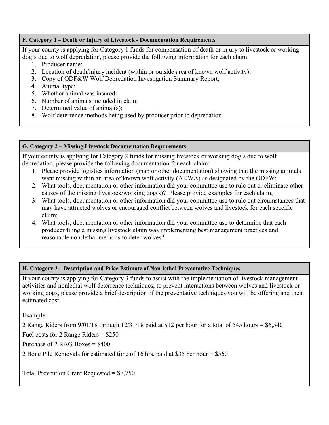### **F. Category 1 – Death or Injury of Livestock - Documentation Requirements**

If your county is applying for Category 1 funds for compensation of death or injury to livestock or working dog's due to wolf depredation, please provide the following information for each claim:

- 1. Producer name;
- 2. Location of death/injury incident (within or outside area of known wolf activity);
- 3. Copy of ODF&W Wolf Depredation Investigation Summary Report;
- 4. Animal type;
- 5. Whether animal was insured:
- 6. Number of animals included in claim
- 7. Determined value of animal(s);
- 8. Wolf deterrence methods being used by producer prior to depredation

## **G. Category 2 – Missing Livestock Documentation Requirements**

If your county is applying for Category 2 funds for missing livestock or working dog's due to wolf depredation, please provide the following documentation for each claim:

- 1. Please provide logistics information (map or other documentation) showing that the missing animals went missing within an area of known wolf activity (AKWA) as designated by the ODFW;
- 2. What tools, documentation or other information did your committee use to rule out or eliminate other causes of the missing livestock/working dog(s)? Please provide examples for each claim;
- 3. What tools, documentation or other information did your committee use to rule out circumstances that may have attracted wolves or encouraged conflict between wolves and livestock for each specific claim;
- 4. What tools, documentation or other information did your committee use to determine that each producer filing a missing livestock claim was implementing best management practices and reasonable non-lethal methods to deter wolves?

# **H. Category 3 – Description and Price Estimate of Non-lethal Preventative Techniques**

If your county is applying for Category 3 funds to assist with the implementation of livestock management activities and nonlethal wolf deterrence techniques, to prevent interactions between wolves and livestock or working dogs, please provide a brief description of the preventative techniques you will be offering and their estimated cost.

Example:

2 Range Riders from 9/01/18 through 12/31/18 paid at \$12 per hour for a total of 545 hours = \$6,540

Fuel costs for 2 Range Riders = \$250

Purchase of 2 RAG Boxes = \$400

2 Bone Pile Removals for estimated time of 16 hrs. paid at \$35 per hour = \$560

Total Prevention Grant Requested = \$7,750